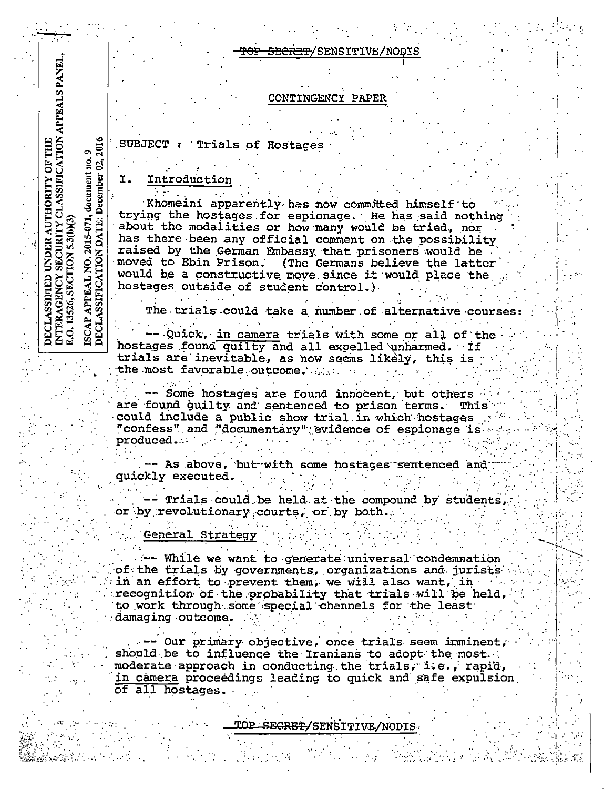#### CONTINGENCY PAPER

**SUBJECT** Trials of Hostages

Ι. Introduction

**CLASSIFICATION APPEALS PANEL,** 

9<br>2016

 $\frac{1}{2}$ 

document<br>December (

ISCAP APPEAL NO. 2015-071,<br>DECLASSIFICATION DATE: 1

THE

.<br>5

**AUTHORITY** 

UNDER

**SECURITY** 

SECTION

INTERAGENCY<br>E.O. 13526, SECT DECLASSIFIED

Khomeini apparently has now committed himself to trying the hostages for espionage. He has said nothing<br>about the modalities or how many would be tried, nor has there been any official comment on the possibility raised by the German Embassy that prisoners would be moved to Ebin Prison. (The Germans believe the latter would be a constructive move since it would place the hostages outside of student control.)

The trials could take a number of alternative courses

Quick, in camera trials with some or all of the hostages found quilty and all expelled unharmed. If trials are inevitable, as now seems likely, this is the most favorable outcome.

Some hostages are found innocent, but others are found guilty and sentenced to prison terms. This could include a public show trial in which hostages "confess" and "documentary" evidence of espionage is produced...

-- As above, but with some hostages sentenced and quickly executed.

- Trials could be held at the compound by students, or by revolutionary courts, or by both.

General Strategy

- While we want to generate universal condemnation of the trials by governments, organizations and jurists in an effort to prevent them, we will also want, in recognition of the probability that trials will be held, to work through some special channels for the least damaging outcome.

-- Our primary objective, once trials seem imminent, should be to influence the Iranians to adopt the most. moderate approach in conducting the trials, i.e., rapid, in camera proceedings leading to quick and safe expulsion of all hostages.

TOP SECRET/SENSITIVE/NODIS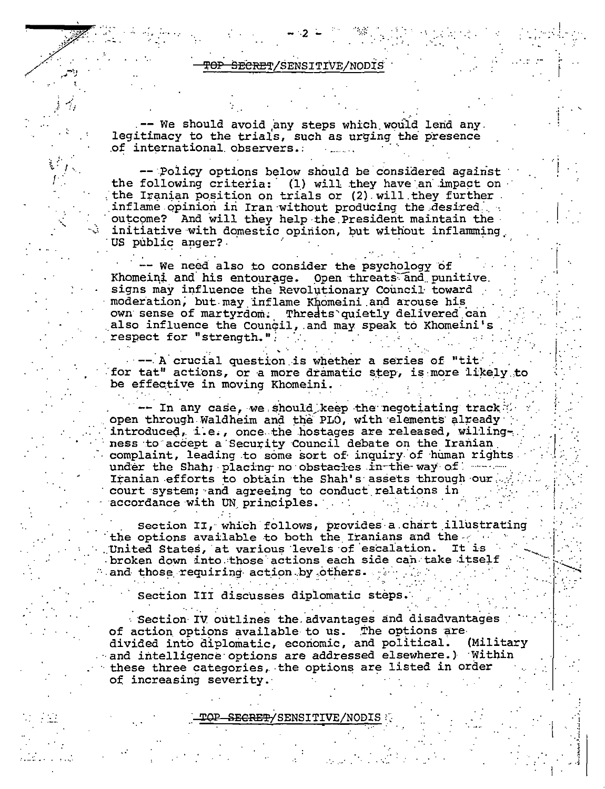-- We should avoid any steps which would lend any. legitimacy to the trials, such as urging the presence of international observers.

-- Policy options below should be considered against the following criteria: (1) will they have an impact on the Iranian position on trials or (2) will they further inflame opinion in Iran without producing the desired. outcome? And will they help the President maintain the initiative with domestic opinion, but without inflamming US public anger?

We need also to consider the psychology of Khomeini and his entourage. Open threats and punitive. signs may influence the Revolutionary Council toward moderation, but may inflame Khomeini and arouse his own sense of martyrdom. Threats quietly delivered can also influence the Council, and may speak to Khomeini's respect for "strength.".

--- A crucial question is whether a series of "tit" for tat" actions, or a more dramatic step, is more likely to be effective in moving Khomeini.

In any case, we should keep the negotiating track  $\%$ open through Waldheim and the PLO, with elements already introduced, i.e., once the hostages are released, willingness to accept a Security Council debate on the Iranian complaint, leading to some sort of inquiry of human rights under the Shah; placing no obstacles in the way of www. Iranian efforts to obtain the Shah's assets through our court system; and agreeing to conduct relations in accordance with UN principles.

Section II, which follows, provides a chart illustrating the options available to both the Iranians and the setting United States, at various levels of escalation. It is broken down into those actions each side can take itself and those requiring action by others.

Section III discusses diplomatic steps.

· Section IV outlines the advantages and disadvantages of action options available to us. The options are divided into diplomatic, economic, and political. (Military and intelligence options are addressed elsewhere.) Within these three categories, the options are listed in order of increasing severity.

<del>)P\_SECRET/</del>SENSITIVE/NODIS\_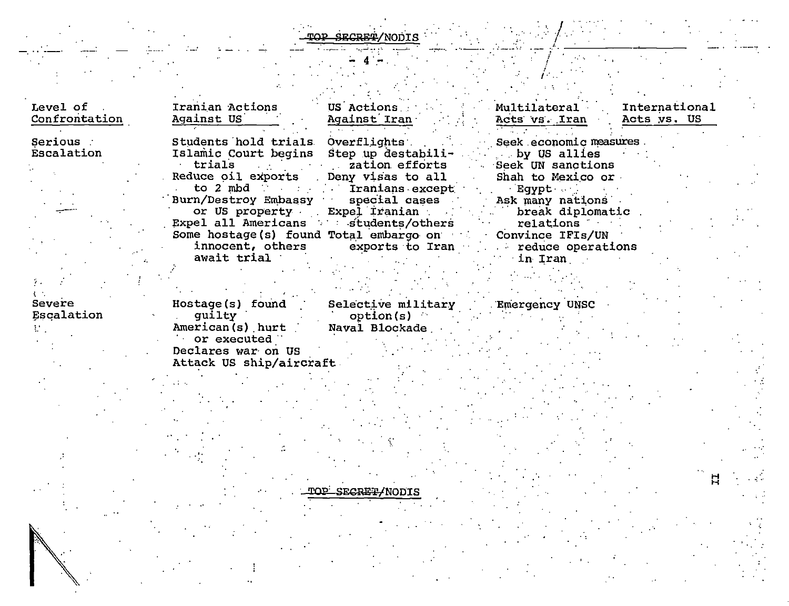# NODIS

| Confrontation           | Iranian Actions<br>Against US                                                                                                        | US Actions<br>Against Iran                                                                                        | Multilateral<br>Acts vs. Iran                                                    | International<br>Acts ys. US |
|-------------------------|--------------------------------------------------------------------------------------------------------------------------------------|-------------------------------------------------------------------------------------------------------------------|----------------------------------------------------------------------------------|------------------------------|
| Serious :<br>Escalation | Students hold trials<br>Islamic Court begins Step up destabili-<br>trials and action efforts<br>Reduce oil exports Deny visas to all | Overflights and the contract of the contract of the contract of the contract of the contract of the contract o    | Seek economic measures<br>by US allies<br>Seek UN sanctions<br>Shah to Mexico or |                              |
|                         | Burn/Destroy Embassy special cases                                                                                                   | to 2 mbd and the contract of the Tranians except                                                                  | Egypt .<br>Ask many nations                                                      |                              |
|                         | Expel all Americans and students/others                                                                                              | or US property Expel Iranian                                                                                      | break diplomatic<br>$\blacksquare$ relations $\blacksquare$                      |                              |
|                         | await trial                                                                                                                          | Some hostage(s) found Total embargo on Convince IFIs/UN<br>innocent, others exports to Iran and reduce operations | <b>in Iran</b>                                                                   |                              |

### $\Lambda$  ,  $\Lambda$ Severe Escalation

 $\mathcal{F}_{\mathcal{F}}$ 

 $\mathcal{M}_{\mathcal{A}}$ 

Hostage(s) found Se:<br>
guilty<br>
American(s) hurt Nav<br>
or executed<br>
Declares war on US<br>
Attack US ship/aircraft Selective military<br>option(s)<br>Naval Blockade

Emergency UNSC

SECRET/NODI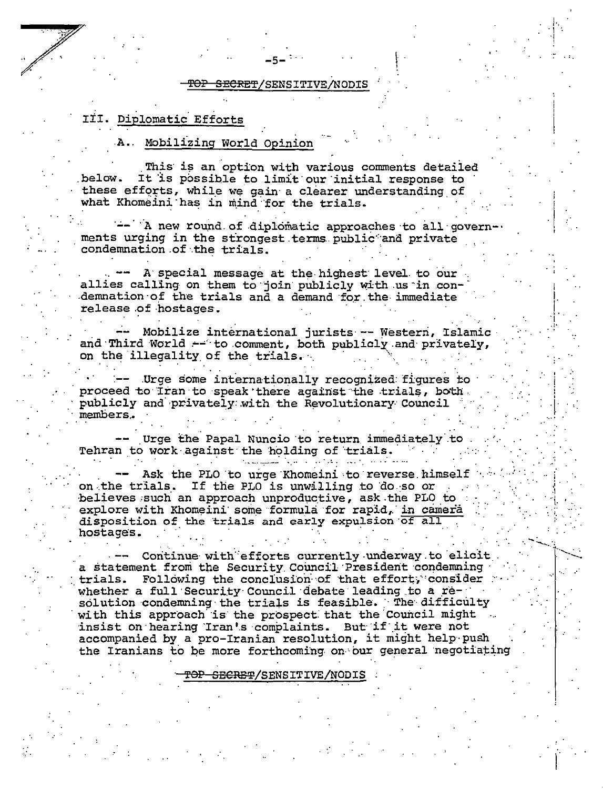<del>SECRET</del>/SENSITIVE/NODIS ₽<del>Ω</del>₽

# III. Diplomatic Efforts

# A. Mobilizing World Opinion

This is an option with various comments detailed It is possible to limit our initial response to .below. these efforts, while we gain a clearer understanding of what Khomeini has in mind for the trials.

-- A new round of diplomatic approaches to all governments urging in the strongest terms public and private condemnation of the trials.

- A special message at the highest level to our allies calling on them to join publicly with us in condemnation of the trials and a demand for the immediate release of hostages.

-- Mobilize international jurists -- Western, Islamic and Third World -- to comment, both publicly and privately, on the illegality of the trials.

-- Urge some internationally recognized figures to proceed to Iran to speak there against the trials, both publicly and privately with the Revolutionary Council members.

Urge the Papal Nuncio to return immediately to Tehran to work against the holding of trials.

Ask the PLO to urge Khomeini to reverse himself on the trials. If the PLO is unwilling to do so or believes such an approach unproductive, ask the PLO to explore with Khomeini some formula for rapid, in camera disposition of the trials and early expulsion of all hostages.

Continue with efforts currently underway to elicit a statement from the Security Council President condemning trials. Following the conclusion of that effort, consider whether a full Security Council debate leading to a resolution condemning the trials is feasible. The difficulty with this approach is the prospect that the Council might. insist on hearing Iran's complaints. But if it were not accompanied by a pro-Iranian resolution, it might help push the Iranians to be more forthcoming on our general negotiating

<del>FOP SECRET</del>/SENSITIVE/NODIS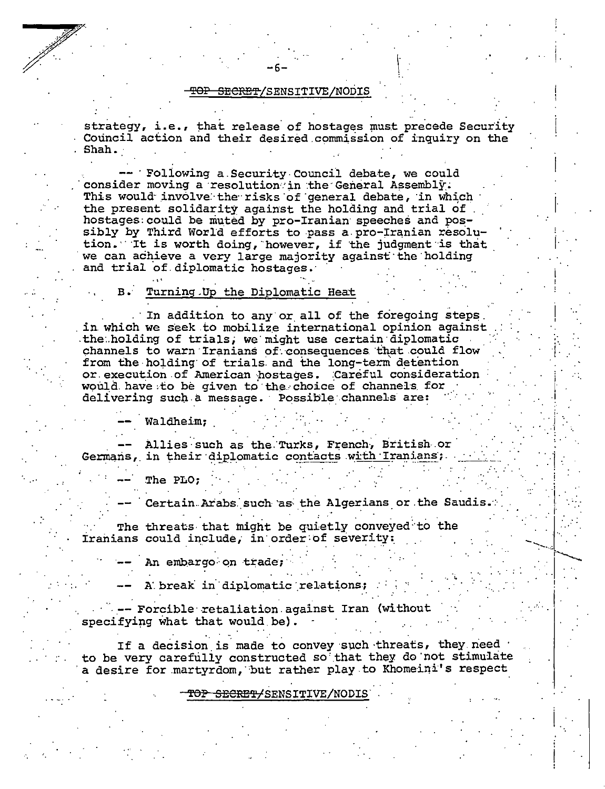#### TOP SECRET/SENSITIVE/NODIS

strategy, i.e., that release of hostages must precede Security Council action and their desired commission of inquiry on the . Shah.

- Following a Security Council debate, we could consider moving a resolution in the General Assembly. This would involve the risks of general debate, in which the present solidarity against the holding and trial of hostages could be muted by pro-Iranian speeches and possibly by Third World efforts to pass a pro-Iranian resolution. It is worth doing, however, if the judgment is that we can achieve a very large majority against the holding and trial of diplomatic hostages.

#### $\mathbf{R}$ . Turning Up the Diplomatic Heat

In addition to any or all of the foregoing steps in which we seek to mobilize international opinion against the holding of trials, we might use certain diplomatic channels to warn Iranians of consequences that could flow from the holding of trials and the long-term detention or execution of American hostages. Careful consideration would have to be given to the choice of channels for delivering such a message. Possible channels are:

Waldheim;

Allies such as the Turks, French, British or Germans, in their diplomatic contacts with Iranians;

The PLO:

Certain Arabs such as the Algerians or the Saudis.

The threats that might be quietly conveyed to the Iranians could include, in order of severity:

An embargo on trade;

A break in diplomatic relations;

-- Forcible retaliation against Iran (without specifying what that would be).

If a decision is made to convey such threats, they need to be very carefully constructed so that they do not stimulate a desire for martyrdom, but rather play to Khomeini's respect

<del>TOP SECRET/</del>SENSITIVE/NODI: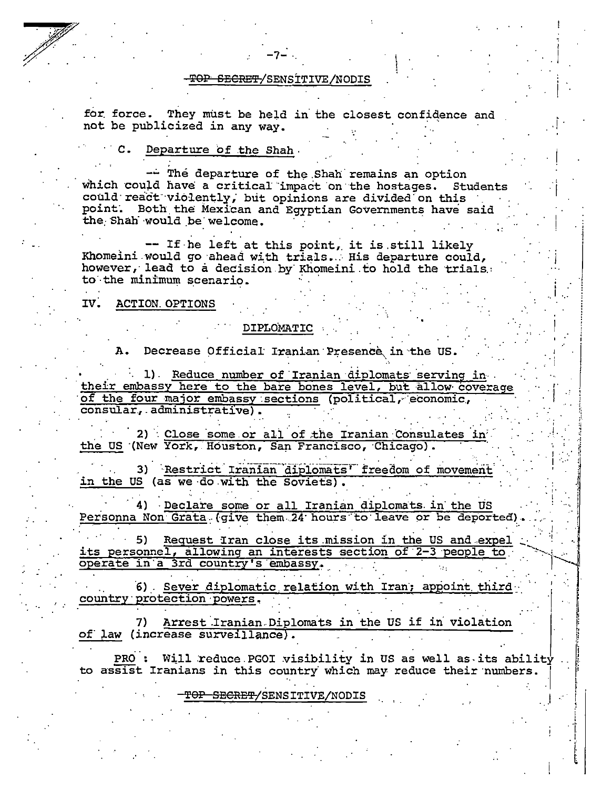#### TOP SECRET/SENSITIVE/NODIS

for force. They must be held in the closest confidence and not be publicized in any way.

# C. Departure of the Shah

-- The departure of the Shah remains an option which could have a critical impact on the hostages. Students could react violently, but opinions are divided on this point. Both the Mexican and Egyptian Governments have said the Shah would be welcome.

-- If he left at this point, it is still likely Khomeini would go ahead with trials. His departure could, however, lead to a decision by Khomeini to hold the trials. to the minimum scenario.

#### $IV.$ **ACTION. OPTIONS**

### DIPLOMATIC

A. Decrease Official Iranian Presence in the US.

1) Reduce number of Iranian diplomats serving in their embassy here to the bare bones level, but allow coverage of the four major embassy sections (political, economic, consular, administrative).

2) Close some or all of the Iranian Consulates in the US (New York, Houston, San Francisco, Chicago).

3) Restrict Iranian diplomats' freedom of movement in the US (as we do with the Soviets).

4) Declare some or all Iranian diplomats in the US Personna Non Grata (give them 24 hours to leave or be deported)

5) Request Iran close its mission in the US and expel its personnel, allowing an interests section of 2-3 people to operate in a 3rd country's embassy.

6) Sever diplomatic relation with Iran; appoint third country protection powers.

Arrest Iranian Diplomats in the US if in violation 7) of law (increase surveillance).

**PRO :** Will reduce PGOI visibility in US as well as its ability to assist Iranians in this country which may reduce their numbers.

# TOP SECRET/SENSITIVE/NODIS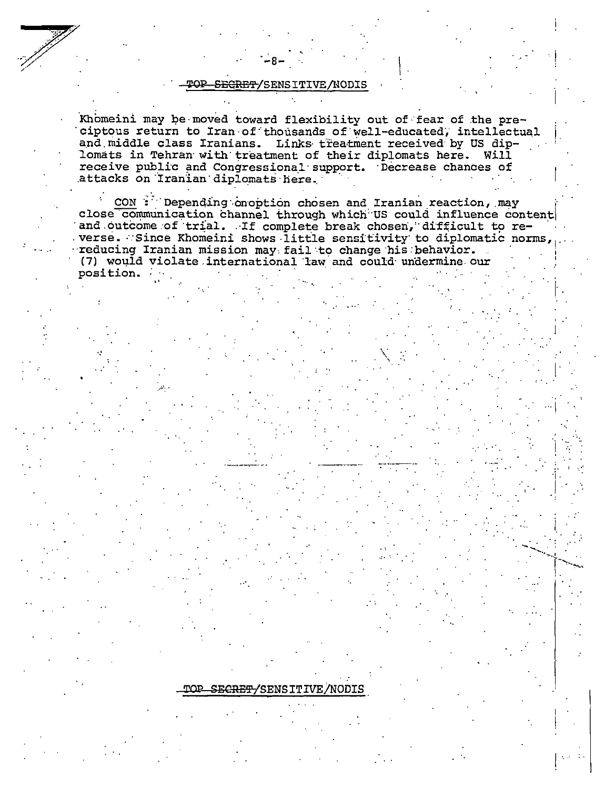Khomeini may be moved toward flexibility out of fear of the preciptous return to Iran of thousands of well-educated, intellectual and middle class Iranians. Links treatment received by US diplomats in Tehran with treatment of their diplomats here. Will receive public and Congressional support. Decrease chances of attacks on Iranian diplomats here.

CON: Depending onoption chosen and Iranian reaction, may close communication channel through which US could influence content and outcome of trial. If complete break chosen, difficult to re-<br>verse. Since Khomeini shows little sensitivity to diplomatic norms, reducing Iranian mission may fail to change his behavior. (7) would violate international law and could undermine our position.

# TOP SECRET/SENSITIVE/NODIS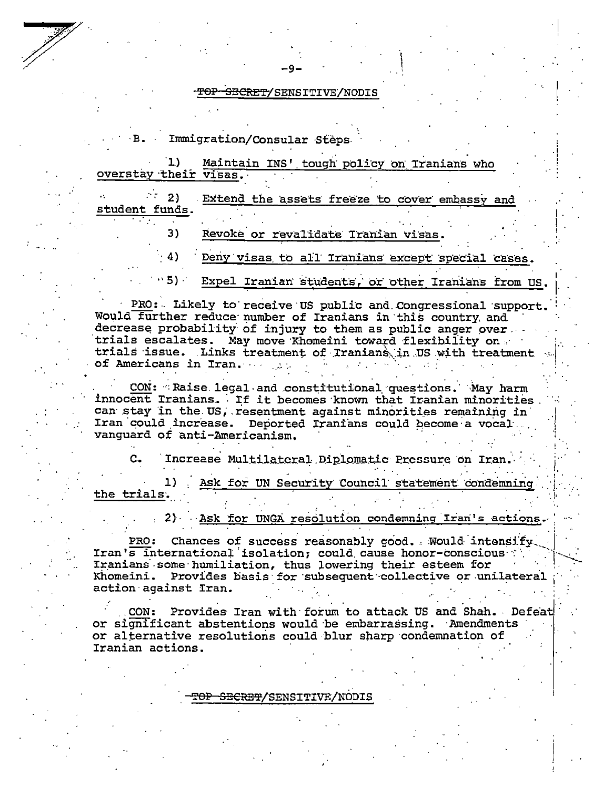Immigration/Consular Steps

| overstay their visas.               | Maintain INS' tough policy on Tranians who                                                                 |
|-------------------------------------|------------------------------------------------------------------------------------------------------------|
| $\cdots$ 2)<br>student funds.<br>3) | Extend the assets freeze to cover embassy and<br>Revoke or revalidate Tranian visas.                       |
| $\cdot$ 4)                          | Deny visas to all Iranians except special cases.<br>195) Expel Iranian students, or other Iranians from US |

PRO: Likely to receive US public and Congressional support. Would further reduce number of Iranians in this country, and decrease probability of injury to them as public anger over. trials escalates. May move Khomeini toward flexibility on trials issue. Links treatment of Iranians in US with treatment of Americans in Tran.

CON: Raise legal and constitutional questions. May harm innocent Iranians. If it becomes known that Iranian minorities can stay in the US, resentment against minorities remaining in Iran could increase. Deported Iranians could become a vocal. vanguard of anti-Americanism.

Increase Multilateral Diplomatic Pressure on Iran Ask for UN Security Council statement condemning 1) the trials.

2) Ask for UNGA resolution condemning Iran's actions.

PRO: Chances of success reasonably good. Would intensify. Iran's international isolation; could cause honor-conscious Iranians some humiliation, thus lowering their esteem for Khomeini. Provides basis for subsequent collective or unilateral action against Iran.

CON: Provides Iran with forum to attack US and Shah. Defeat or significant abstentions would be embarrassing. Amendments or alternative resolutions could blur sharp condemnation of Iranian actions.

### <del>SECRET</del>/SENSITIVE/NODIS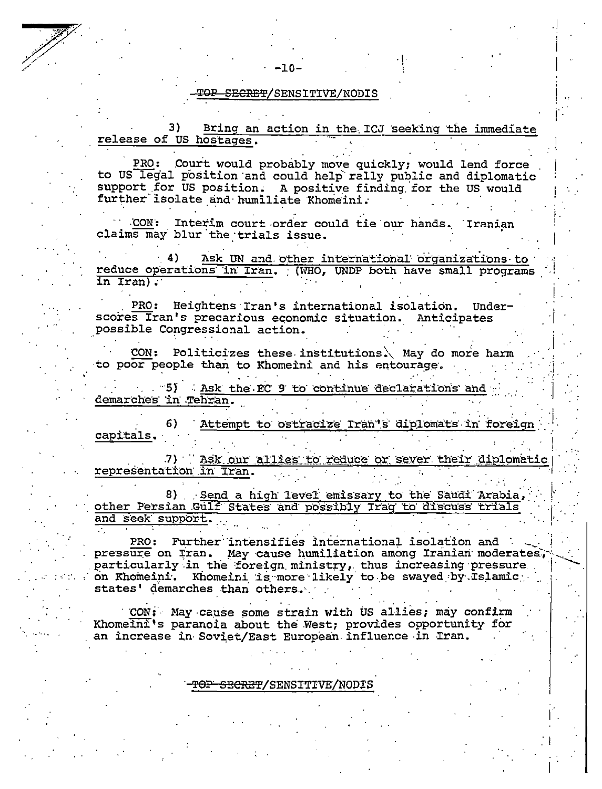#### SECRET/SENSITIVE/NODIS

 $-10-$ 

Bring an action in the ICJ seeking the immediate 3) release of US hostages.

PRO: Court would probably move quickly; would lend force to US legal position and could help rally public and diplomatic support for US position. A positive finding for the US would further isolate and humiliate Khomeini.

CON: Interim court order could tie our hands. Iranian claims may blur the trials issue.

Ask UN and other international organizations to reduce operations in Iran. (WHO, UNDP both have small programs in Iran).

 $PRO:$ Heightens Iran's international isolation. Underscores Iran's precarious economic situation. Anticipates possible Congressional action.

Politicizes these institutions. May do more harm CON: to poor people than to Khomeini and his entourage.

"5) Ask the EC 9 to continue declarations and demarches in Tehran.

Attempt to ostracize Iran's diplomats in foreign capitals.

Ask our allies to reduce or sever their diplomatic .7) representation in Tran.

8) Send a high level emissary to the Saudi Arabia, other Persian Gulf States and possibly Iraq to discuss trials and seek support.

PRO: Further intensifies international isolation and pressure on Tran. May cause humiliation among Iranian moderates, particularly in the foreign ministry, thus increasing pressure on Khomeini. Khomeini is more likely to be swayed by Islamic states' demarches than others.

CON: May cause some strain with US allies; may confirm Khomeini's paranoia about the West; provides opportunity for an increase in Soviet/East European influence in Iran.

<del>OP SECRET</del>/SENSITIVE/NODIS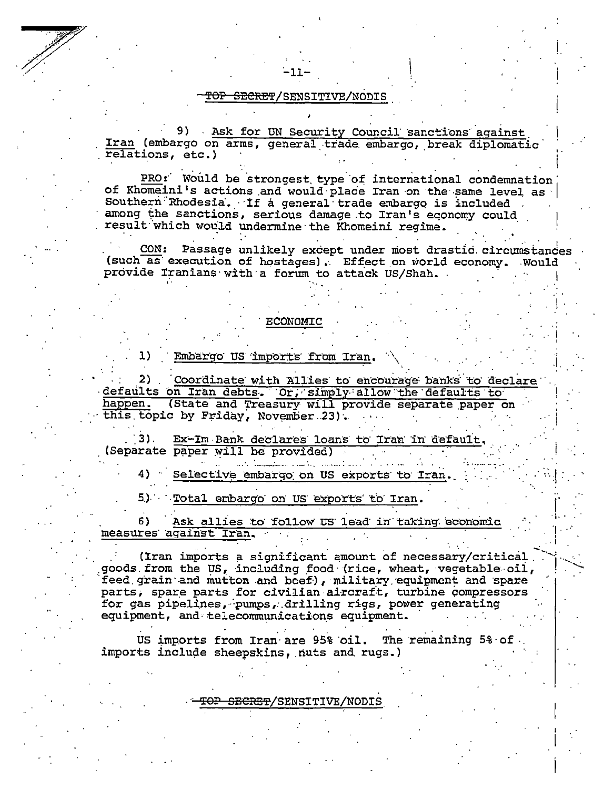9) Ask for UN Security Council sanctions against Iran (embargo on arms, general trade embargo, break diplomatic relations, etc.)

PRO: Would be strongest type of international condemnation of Khomeini's actions and would place Iran on the same level as Southern Rhodesia. If a general trade embargo is included among the sanctions, serious damage to Iran's economy could result which would undermine the Khomeini regime.

CON: Passage unlikely except under most drastic circumstances (such as execution of hostages). Effect on world economy. Would provide Iranians with a forum to attack US/Shah.

#### **ECONOMIC**

Embargo US imports from Iran. 1)

 $2)$ Coordinate with Allies to encourage banks to declare defaults on Iran debts. Or, simply allow the defaults to (State and Treasury will provide separate paper on happen. this topic by Friday, November 23).

Ex-Im Bank declares loans to Iran in default. (Separate paper will be provided)

4) Selective embargo on US exports to Iran.

Total embargo on US exports to Iran.  $5.1$ 

Ask allies to follow US lead in taking economic 6) measures against Iran.

(Iran imports a significant amount of necessary/critical goods from the US, including food (rice, wheat, vegetable oil, feed grain and mutton and beef), military equipment and spare parts, spare parts for civilian aircraft, turbine compressors for gas pipelines, pumps, drilling rigs, power generating equipment, and telecommunications equipment.

US imports from Iran are 95% oil. The remaining 5% of imports include sheepskins, nuts and rugs.)

T<del>OP SECRET</del>/SENSITIVE/NODIS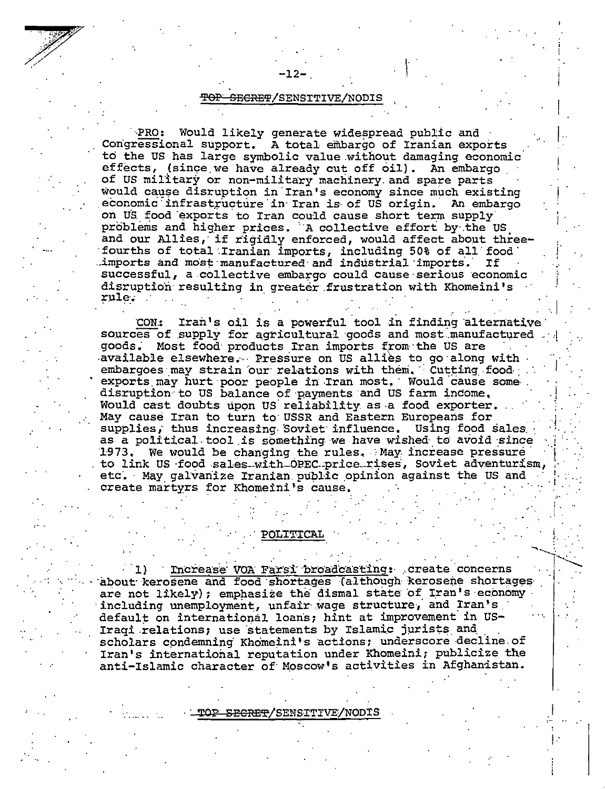PRO: Would likely generate widespread public and Congressional support. A total embargo of Iranian exports to the US has large symbolic value without damaging economic effects, (since we have already cut off oil). An embargo of US military or non-military machinery and spare parts would cause disruption in Iran's economy since much existing economic infrastructure in Iran is of US origin. An embargo on US food exports to Iran could cause short term supply problems and higher prices. A collective effort by the US and our Allies, if rigidly enforced, would affect about threefourths of total Iranian imports, including 50% of all food imports and most manufactured and industrial imports. **If** successful, a collective embargo could cause serious economic disruption resulting in greater frustration with Khomeini's rule.

Iran's oil is a powerful tool in finding alternative CON: sources of supply for agricultural goods and most manufactured goods. Most food products Iran imports from the US are available elsewhere. Pressure on US allies to go along with embargoes may strain our relations with them. Cutting food exports may hurt poor people in Iran most. Would cause some disruption to US balance of payments and US farm income. Would cast doubts upon US reliability as a food exporter. May cause Iran to turn to USSR and Eastern Europeans for supplies, thus increasing Soviet influence. Using food sales as a political tool is something we have wished to avoid since 1973. We would be changing the rules. May increase pressure to link US food sales with OPEC price rises, Soviet adventurism, etc. May galvanize Iranian public opinion against the US and create martyrs for Khomeini's cause.

#### **POLITICAL**

Increase VOA Farsi broadcasting: create concerns about kerosene and food shortages (although kerosene shortages are not likely); emphasize the dismal state of Iran's economy including unemployment, unfair wage structure, and Iran's default on international loans; hint at improvement in US-Iraqi relations; use statements by Islamic jurists and scholars condemning Khomeini's actions; underscore decline of Iran's international reputation under Khomeini; publicize the anti-Islamic character of Moscow's activities in Afghanistan.

- TOP SECRET/SENSITIVE/NODIS